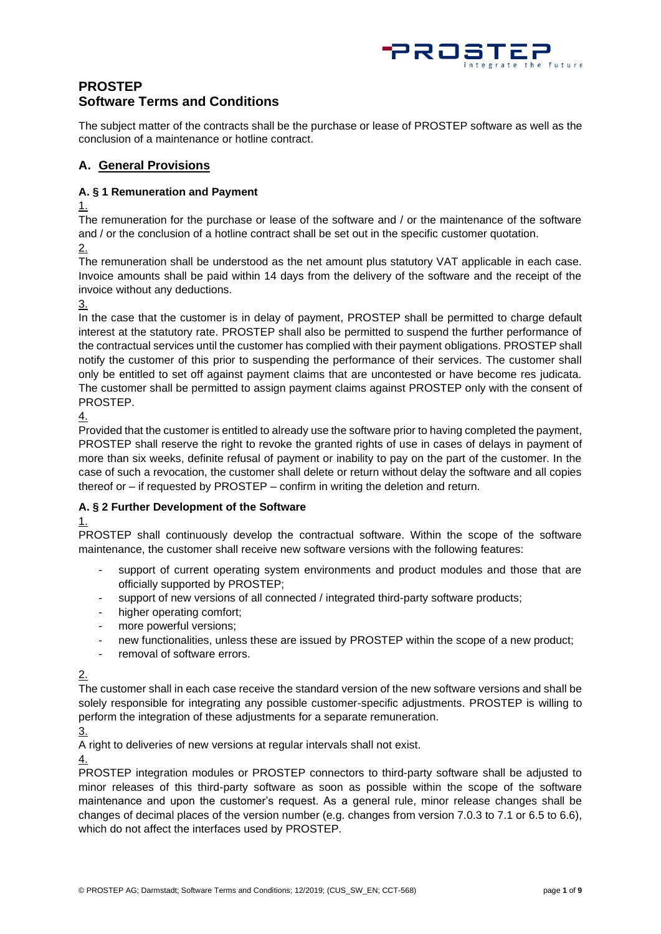

# **PROSTEP Software Terms and Conditions**

The subject matter of the contracts shall be the purchase or lease of PROSTEP software as well as the conclusion of a maintenance or hotline contract.

## **A. General Provisions**

### **A. § 1 Remuneration and Payment**

1.

The remuneration for the purchase or lease of the software and / or the maintenance of the software and / or the conclusion of a hotline contract shall be set out in the specific customer quotation.

2.

The remuneration shall be understood as the net amount plus statutory VAT applicable in each case. Invoice amounts shall be paid within 14 days from the delivery of the software and the receipt of the invoice without any deductions.

3.

In the case that the customer is in delay of payment, PROSTEP shall be permitted to charge default interest at the statutory rate. PROSTEP shall also be permitted to suspend the further performance of the contractual services until the customer has complied with their payment obligations. PROSTEP shall notify the customer of this prior to suspending the performance of their services. The customer shall only be entitled to set off against payment claims that are uncontested or have become res judicata. The customer shall be permitted to assign payment claims against PROSTEP only with the consent of PROSTEP.

4.

Provided that the customer is entitled to already use the software prior to having completed the payment, PROSTEP shall reserve the right to revoke the granted rights of use in cases of delays in payment of more than six weeks, definite refusal of payment or inability to pay on the part of the customer. In the case of such a revocation, the customer shall delete or return without delay the software and all copies thereof or – if requested by PROSTEP – confirm in writing the deletion and return.

## **A. § 2 Further Development of the Software**

## 1.

PROSTEP shall continuously develop the contractual software. Within the scope of the software maintenance, the customer shall receive new software versions with the following features:

- support of current operating system environments and product modules and those that are officially supported by PROSTEP;
- support of new versions of all connected / integrated third-party software products;
- higher operating comfort;
- more powerful versions;
- new functionalities, unless these are issued by PROSTEP within the scope of a new product;
- removal of software errors.

2.

The customer shall in each case receive the standard version of the new software versions and shall be solely responsible for integrating any possible customer-specific adjustments. PROSTEP is willing to perform the integration of these adjustments for a separate remuneration.

3.

A right to deliveries of new versions at regular intervals shall not exist.

4.

PROSTEP integration modules or PROSTEP connectors to third-party software shall be adjusted to minor releases of this third-party software as soon as possible within the scope of the software maintenance and upon the customer's request. As a general rule, minor release changes shall be changes of decimal places of the version number (e.g. changes from version 7.0.3 to 7.1 or 6.5 to 6.6), which do not affect the interfaces used by PROSTEP.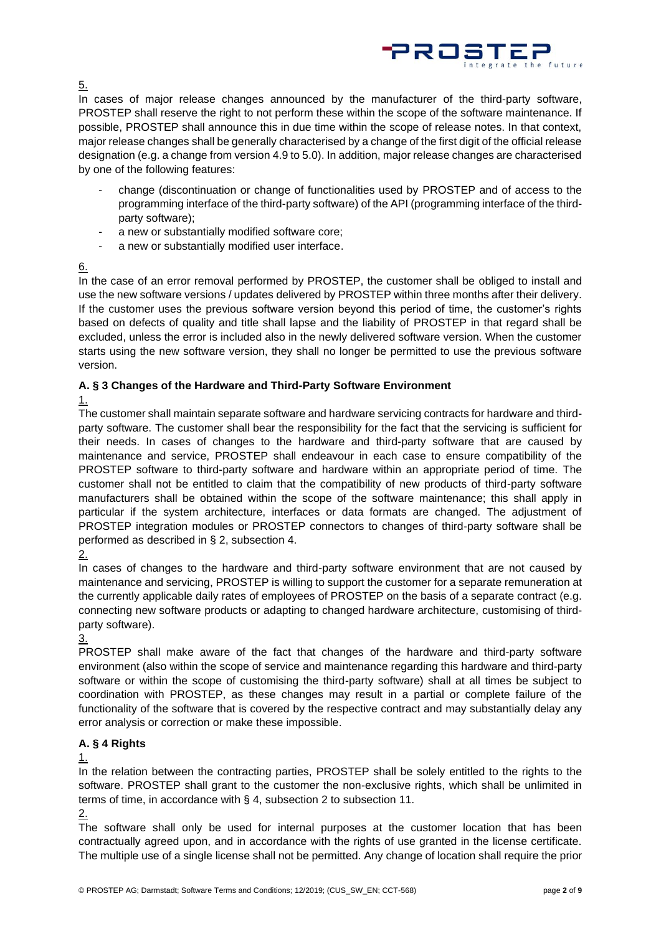

5.

In cases of major release changes announced by the manufacturer of the third-party software, PROSTEP shall reserve the right to not perform these within the scope of the software maintenance. If possible, PROSTEP shall announce this in due time within the scope of release notes. In that context, major release changes shall be generally characterised by a change of the first digit of the official release designation (e.g. a change from version 4.9 to 5.0). In addition, major release changes are characterised by one of the following features:

- change (discontinuation or change of functionalities used by PROSTEP and of access to the programming interface of the third-party software) of the API (programming interface of the thirdparty software);
- a new or substantially modified software core;
- a new or substantially modified user interface.

### 6.

In the case of an error removal performed by PROSTEP, the customer shall be obliged to install and use the new software versions / updates delivered by PROSTEP within three months after their delivery. If the customer uses the previous software version beyond this period of time, the customer's rights based on defects of quality and title shall lapse and the liability of PROSTEP in that regard shall be excluded, unless the error is included also in the newly delivered software version. When the customer starts using the new software version, they shall no longer be permitted to use the previous software version.

## **A. § 3 Changes of the Hardware and Third-Party Software Environment**

### 1.

The customer shall maintain separate software and hardware servicing contracts for hardware and thirdparty software. The customer shall bear the responsibility for the fact that the servicing is sufficient for their needs. In cases of changes to the hardware and third-party software that are caused by maintenance and service, PROSTEP shall endeavour in each case to ensure compatibility of the PROSTEP software to third-party software and hardware within an appropriate period of time. The customer shall not be entitled to claim that the compatibility of new products of third-party software manufacturers shall be obtained within the scope of the software maintenance; this shall apply in particular if the system architecture, interfaces or data formats are changed. The adjustment of PROSTEP integration modules or PROSTEP connectors to changes of third-party software shall be performed as described in § 2, subsection 4.

In cases of changes to the hardware and third-party software environment that are not caused by maintenance and servicing, PROSTEP is willing to support the customer for a separate remuneration at the currently applicable daily rates of employees of PROSTEP on the basis of a separate contract (e.g. connecting new software products or adapting to changed hardware architecture, customising of thirdparty software).

3.

PROSTEP shall make aware of the fact that changes of the hardware and third-party software environment (also within the scope of service and maintenance regarding this hardware and third-party software or within the scope of customising the third-party software) shall at all times be subject to coordination with PROSTEP, as these changes may result in a partial or complete failure of the functionality of the software that is covered by the respective contract and may substantially delay any error analysis or correction or make these impossible.

## **A. § 4 Rights**

## 1.

In the relation between the contracting parties, PROSTEP shall be solely entitled to the rights to the software. PROSTEP shall grant to the customer the non-exclusive rights, which shall be unlimited in terms of time, in accordance with § 4, subsection 2 to subsection 11.

2.

The software shall only be used for internal purposes at the customer location that has been contractually agreed upon, and in accordance with the rights of use granted in the license certificate. The multiple use of a single license shall not be permitted. Any change of location shall require the prior

<sup>2.</sup>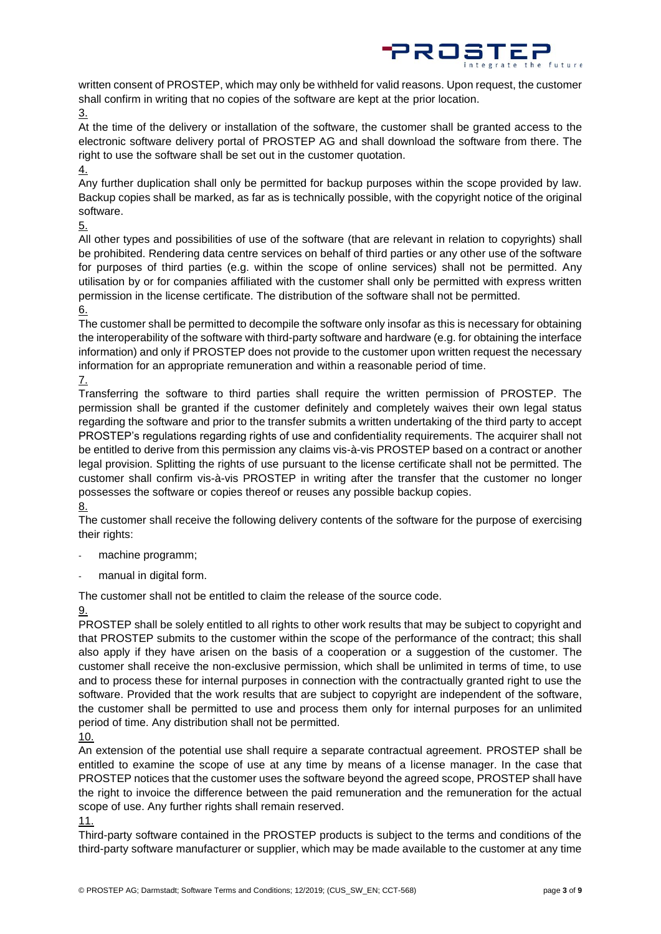

written consent of PROSTEP, which may only be withheld for valid reasons. Upon request, the customer shall confirm in writing that no copies of the software are kept at the prior location.

3.

At the time of the delivery or installation of the software, the customer shall be granted access to the electronic software delivery portal of PROSTEP AG and shall download the software from there. The right to use the software shall be set out in the customer quotation.

4.

Any further duplication shall only be permitted for backup purposes within the scope provided by law. Backup copies shall be marked, as far as is technically possible, with the copyright notice of the original software.

5.

All other types and possibilities of use of the software (that are relevant in relation to copyrights) shall be prohibited. Rendering data centre services on behalf of third parties or any other use of the software for purposes of third parties (e.g. within the scope of online services) shall not be permitted. Any utilisation by or for companies affiliated with the customer shall only be permitted with express written permission in the license certificate. The distribution of the software shall not be permitted.

6.

The customer shall be permitted to decompile the software only insofar as this is necessary for obtaining the interoperability of the software with third-party software and hardware (e.g. for obtaining the interface information) and only if PROSTEP does not provide to the customer upon written request the necessary information for an appropriate remuneration and within a reasonable period of time.

7.

Transferring the software to third parties shall require the written permission of PROSTEP. The permission shall be granted if the customer definitely and completely waives their own legal status regarding the software and prior to the transfer submits a written undertaking of the third party to accept PROSTEP's regulations regarding rights of use and confidentiality requirements. The acquirer shall not be entitled to derive from this permission any claims vis-à-vis PROSTEP based on a contract or another legal provision. Splitting the rights of use pursuant to the license certificate shall not be permitted. The customer shall confirm vis-à-vis PROSTEP in writing after the transfer that the customer no longer possesses the software or copies thereof or reuses any possible backup copies.

8.

The customer shall receive the following delivery contents of the software for the purpose of exercising their rights:

- machine programm;
- manual in digital form.

The customer shall not be entitled to claim the release of the source code.

9.

PROSTEP shall be solely entitled to all rights to other work results that may be subject to copyright and that PROSTEP submits to the customer within the scope of the performance of the contract; this shall also apply if they have arisen on the basis of a cooperation or a suggestion of the customer. The customer shall receive the non-exclusive permission, which shall be unlimited in terms of time, to use and to process these for internal purposes in connection with the contractually granted right to use the software. Provided that the work results that are subject to copyright are independent of the software, the customer shall be permitted to use and process them only for internal purposes for an unlimited period of time. Any distribution shall not be permitted.

An extension of the potential use shall require a separate contractual agreement. PROSTEP shall be entitled to examine the scope of use at any time by means of a license manager. In the case that PROSTEP notices that the customer uses the software beyond the agreed scope, PROSTEP shall have the right to invoice the difference between the paid remuneration and the remuneration for the actual scope of use. Any further rights shall remain reserved.

11.

Third-party software contained in the PROSTEP products is subject to the terms and conditions of the third-party software manufacturer or supplier, which may be made available to the customer at any time

<sup>10.</sup>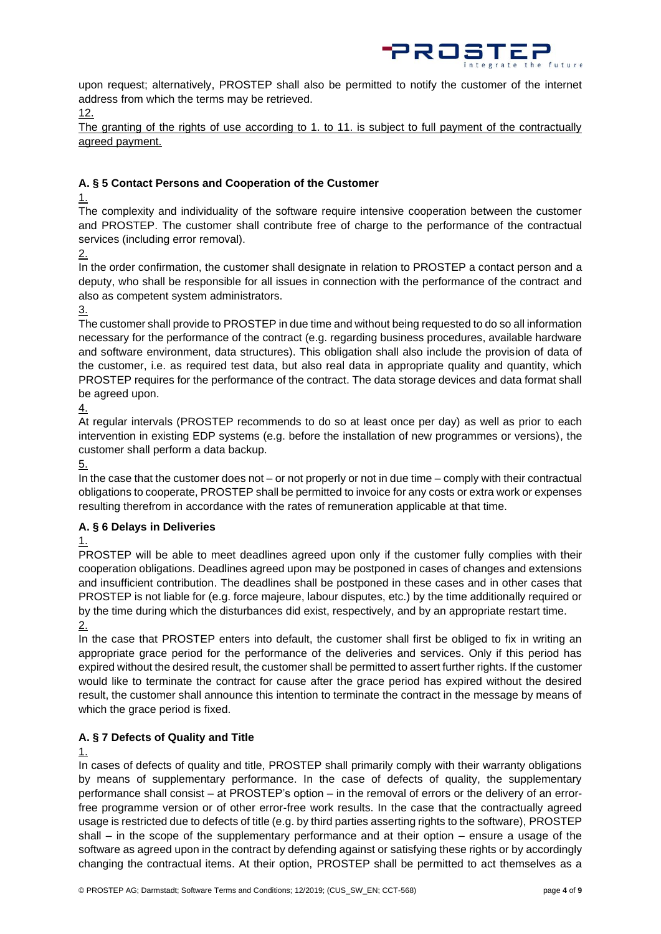

upon request; alternatively, PROSTEP shall also be permitted to notify the customer of the internet address from which the terms may be retrieved.

12.

The granting of the rights of use according to 1. to 11. is subject to full payment of the contractually agreed payment.

### **A. § 5 Contact Persons and Cooperation of the Customer**

1.

The complexity and individuality of the software require intensive cooperation between the customer and PROSTEP. The customer shall contribute free of charge to the performance of the contractual services (including error removal).

2.

In the order confirmation, the customer shall designate in relation to PROSTEP a contact person and a deputy, who shall be responsible for all issues in connection with the performance of the contract and also as competent system administrators.

3.

The customer shall provide to PROSTEP in due time and without being requested to do so all information necessary for the performance of the contract (e.g. regarding business procedures, available hardware and software environment, data structures). This obligation shall also include the provision of data of the customer, i.e. as required test data, but also real data in appropriate quality and quantity, which PROSTEP requires for the performance of the contract. The data storage devices and data format shall be agreed upon.

4.

At regular intervals (PROSTEP recommends to do so at least once per day) as well as prior to each intervention in existing EDP systems (e.g. before the installation of new programmes or versions), the customer shall perform a data backup.

5.

In the case that the customer does not – or not properly or not in due time – comply with their contractual obligations to cooperate, PROSTEP shall be permitted to invoice for any costs or extra work or expenses resulting therefrom in accordance with the rates of remuneration applicable at that time.

## **A. § 6 Delays in Deliveries**

1.

PROSTEP will be able to meet deadlines agreed upon only if the customer fully complies with their cooperation obligations. Deadlines agreed upon may be postponed in cases of changes and extensions and insufficient contribution. The deadlines shall be postponed in these cases and in other cases that PROSTEP is not liable for (e.g. force majeure, labour disputes, etc.) by the time additionally required or by the time during which the disturbances did exist, respectively, and by an appropriate restart time. 2.

In the case that PROSTEP enters into default, the customer shall first be obliged to fix in writing an appropriate grace period for the performance of the deliveries and services. Only if this period has expired without the desired result, the customer shall be permitted to assert further rights. If the customer would like to terminate the contract for cause after the grace period has expired without the desired result, the customer shall announce this intention to terminate the contract in the message by means of which the grace period is fixed.

## **A. § 7 Defects of Quality and Title**

1.

In cases of defects of quality and title, PROSTEP shall primarily comply with their warranty obligations by means of supplementary performance. In the case of defects of quality, the supplementary performance shall consist – at PROSTEP's option – in the removal of errors or the delivery of an errorfree programme version or of other error-free work results. In the case that the contractually agreed usage is restricted due to defects of title (e.g. by third parties asserting rights to the software), PROSTEP shall – in the scope of the supplementary performance and at their option – ensure a usage of the software as agreed upon in the contract by defending against or satisfying these rights or by accordingly changing the contractual items. At their option, PROSTEP shall be permitted to act themselves as a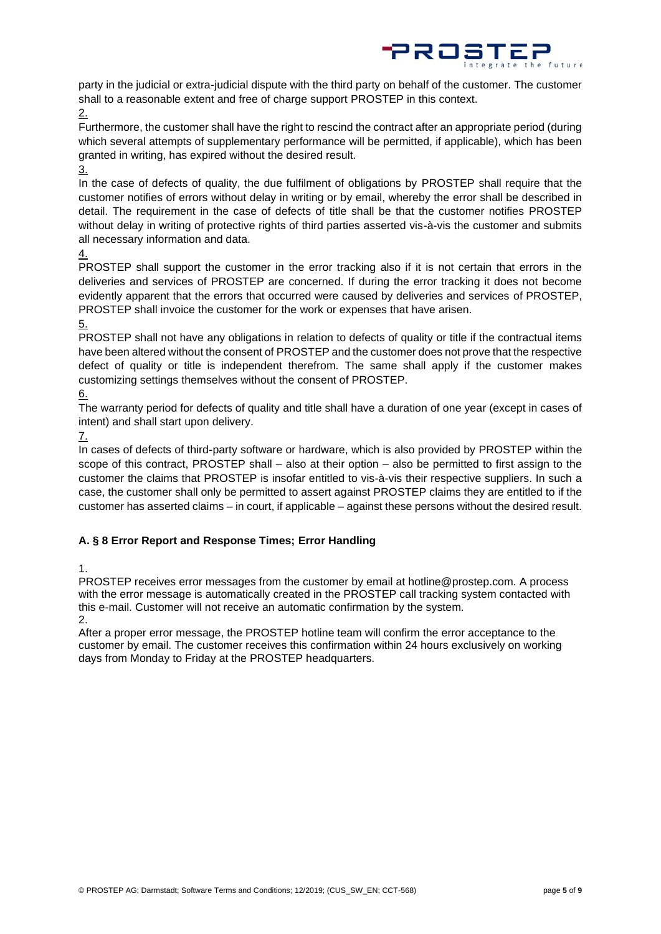

party in the judicial or extra-judicial dispute with the third party on behalf of the customer. The customer shall to a reasonable extent and free of charge support PROSTEP in this context.

2.

Furthermore, the customer shall have the right to rescind the contract after an appropriate period (during which several attempts of supplementary performance will be permitted, if applicable), which has been granted in writing, has expired without the desired result.

3.

In the case of defects of quality, the due fulfilment of obligations by PROSTEP shall require that the customer notifies of errors without delay in writing or by email, whereby the error shall be described in detail. The requirement in the case of defects of title shall be that the customer notifies PROSTEP without delay in writing of protective rights of third parties asserted vis-à-vis the customer and submits all necessary information and data.

4.

PROSTEP shall support the customer in the error tracking also if it is not certain that errors in the deliveries and services of PROSTEP are concerned. If during the error tracking it does not become evidently apparent that the errors that occurred were caused by deliveries and services of PROSTEP, PROSTEP shall invoice the customer for the work or expenses that have arisen.

#### 5.

PROSTEP shall not have any obligations in relation to defects of quality or title if the contractual items have been altered without the consent of PROSTEP and the customer does not prove that the respective defect of quality or title is independent therefrom. The same shall apply if the customer makes customizing settings themselves without the consent of PROSTEP.

6.

The warranty period for defects of quality and title shall have a duration of one year (except in cases of intent) and shall start upon delivery.

7.

In cases of defects of third-party software or hardware, which is also provided by PROSTEP within the scope of this contract, PROSTEP shall – also at their option – also be permitted to first assign to the customer the claims that PROSTEP is insofar entitled to vis-à-vis their respective suppliers. In such a case, the customer shall only be permitted to assert against PROSTEP claims they are entitled to if the customer has asserted claims – in court, if applicable – against these persons without the desired result.

# **A. § 8 Error Report and Response Times; Error Handling**

1.

PROSTEP receives error messages from the customer by email at hotline@prostep.com. A process with the error message is automatically created in the PROSTEP call tracking system contacted with this e-mail. Customer will not receive an automatic confirmation by the system.

 $\mathcal{L}$ 

After a proper error message, the PROSTEP hotline team will confirm the error acceptance to the customer by email. The customer receives this confirmation within 24 hours exclusively on working days from Monday to Friday at the PROSTEP headquarters.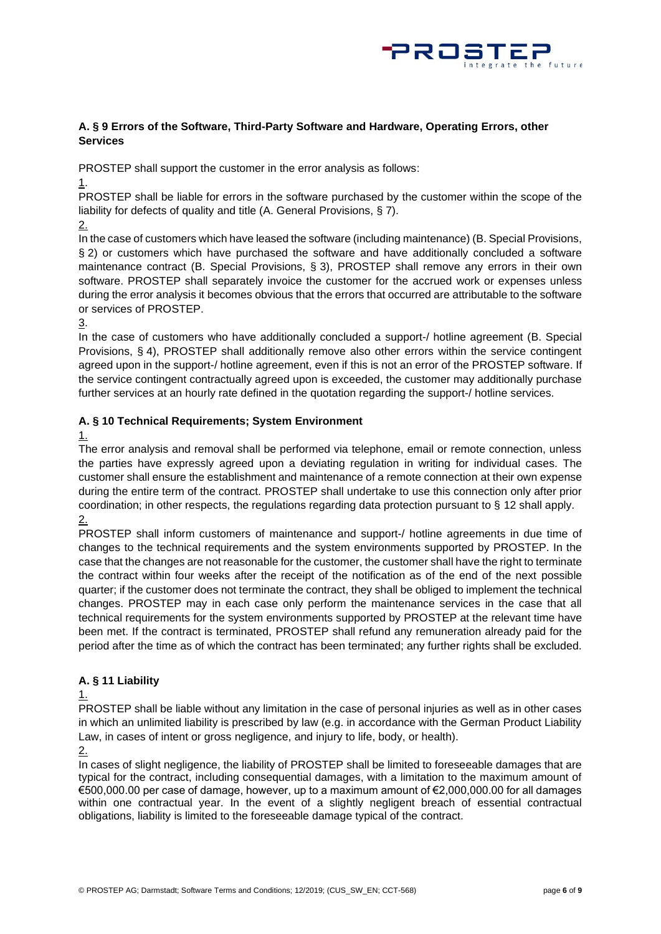

#### **A. § 9 Errors of the Software, Third-Party Software and Hardware, Operating Errors, other Services**

PROSTEP shall support the customer in the error analysis as follows:

1.

PROSTEP shall be liable for errors in the software purchased by the customer within the scope of the liability for defects of quality and title (A. General Provisions, § 7).

2.

In the case of customers which have leased the software (including maintenance) (B. Special Provisions, § 2) or customers which have purchased the software and have additionally concluded a software maintenance contract (B. Special Provisions, § 3), PROSTEP shall remove any errors in their own software. PROSTEP shall separately invoice the customer for the accrued work or expenses unless during the error analysis it becomes obvious that the errors that occurred are attributable to the software or services of PROSTEP.

3.

In the case of customers who have additionally concluded a support-/ hotline agreement (B. Special Provisions, § 4), PROSTEP shall additionally remove also other errors within the service contingent agreed upon in the support-/ hotline agreement, even if this is not an error of the PROSTEP software. If the service contingent contractually agreed upon is exceeded, the customer may additionally purchase further services at an hourly rate defined in the quotation regarding the support-/ hotline services.

## **A. § 10 Technical Requirements; System Environment**

1.

The error analysis and removal shall be performed via telephone, email or remote connection, unless the parties have expressly agreed upon a deviating regulation in writing for individual cases. The customer shall ensure the establishment and maintenance of a remote connection at their own expense during the entire term of the contract. PROSTEP shall undertake to use this connection only after prior coordination; in other respects, the regulations regarding data protection pursuant to § 12 shall apply. 2.

PROSTEP shall inform customers of maintenance and support-/ hotline agreements in due time of changes to the technical requirements and the system environments supported by PROSTEP. In the case that the changes are not reasonable for the customer, the customer shall have the right to terminate the contract within four weeks after the receipt of the notification as of the end of the next possible quarter; if the customer does not terminate the contract, they shall be obliged to implement the technical changes. PROSTEP may in each case only perform the maintenance services in the case that all technical requirements for the system environments supported by PROSTEP at the relevant time have been met. If the contract is terminated, PROSTEP shall refund any remuneration already paid for the period after the time as of which the contract has been terminated; any further rights shall be excluded.

# **A. § 11 Liability**

1.

PROSTEP shall be liable without any limitation in the case of personal injuries as well as in other cases in which an unlimited liability is prescribed by law (e.g. in accordance with the German Product Liability Law, in cases of intent or gross negligence, and injury to life, body, or health).

2.

In cases of slight negligence, the liability of PROSTEP shall be limited to foreseeable damages that are typical for the contract, including consequential damages, with a limitation to the maximum amount of €500,000.00 per case of damage, however, up to a maximum amount of €2,000,000.00 for all damages within one contractual year. In the event of a slightly negligent breach of essential contractual obligations, liability is limited to the foreseeable damage typical of the contract.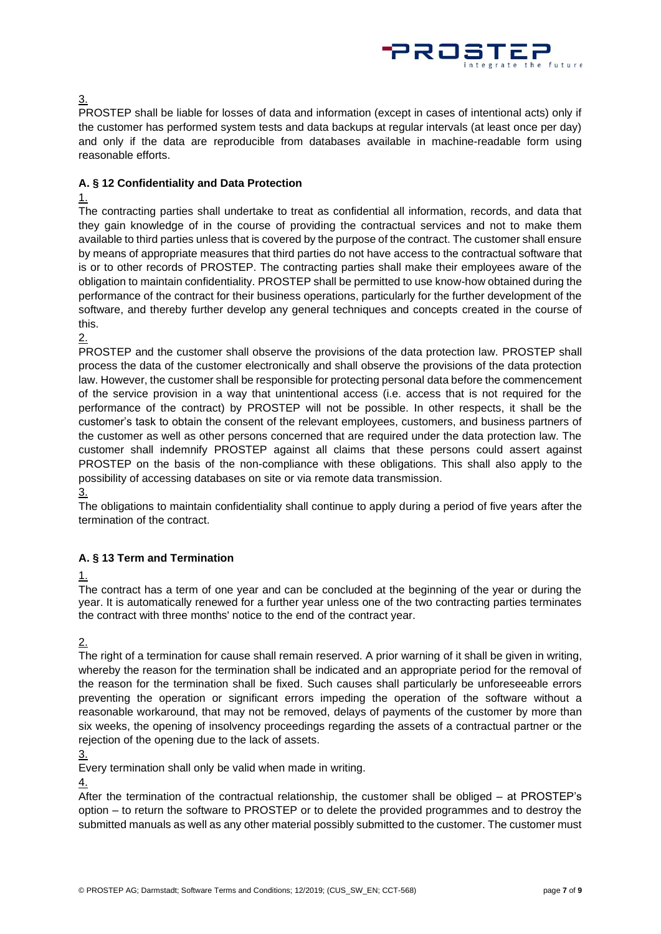

3.

PROSTEP shall be liable for losses of data and information (except in cases of intentional acts) only if the customer has performed system tests and data backups at regular intervals (at least once per day) and only if the data are reproducible from databases available in machine-readable form using reasonable efforts.

## **A. § 12 Confidentiality and Data Protection**

### 1.

The contracting parties shall undertake to treat as confidential all information, records, and data that they gain knowledge of in the course of providing the contractual services and not to make them available to third parties unless that is covered by the purpose of the contract. The customer shall ensure by means of appropriate measures that third parties do not have access to the contractual software that is or to other records of PROSTEP. The contracting parties shall make their employees aware of the obligation to maintain confidentiality. PROSTEP shall be permitted to use know-how obtained during the performance of the contract for their business operations, particularly for the further development of the software, and thereby further develop any general techniques and concepts created in the course of this.

2.

PROSTEP and the customer shall observe the provisions of the data protection law. PROSTEP shall process the data of the customer electronically and shall observe the provisions of the data protection law. However, the customer shall be responsible for protecting personal data before the commencement of the service provision in a way that unintentional access (i.e. access that is not required for the performance of the contract) by PROSTEP will not be possible. In other respects, it shall be the customer's task to obtain the consent of the relevant employees, customers, and business partners of the customer as well as other persons concerned that are required under the data protection law. The customer shall indemnify PROSTEP against all claims that these persons could assert against PROSTEP on the basis of the non-compliance with these obligations. This shall also apply to the possibility of accessing databases on site or via remote data transmission.

3.

The obligations to maintain confidentiality shall continue to apply during a period of five years after the termination of the contract.

## **A. § 13 Term and Termination**

1.

The contract has a term of one year and can be concluded at the beginning of the year or during the year. It is automatically renewed for a further year unless one of the two contracting parties terminates the contract with three months' notice to the end of the contract year.

2.

The right of a termination for cause shall remain reserved. A prior warning of it shall be given in writing, whereby the reason for the termination shall be indicated and an appropriate period for the removal of the reason for the termination shall be fixed. Such causes shall particularly be unforeseeable errors preventing the operation or significant errors impeding the operation of the software without a reasonable workaround, that may not be removed, delays of payments of the customer by more than six weeks, the opening of insolvency proceedings regarding the assets of a contractual partner or the rejection of the opening due to the lack of assets.

3.

Every termination shall only be valid when made in writing.

4.

After the termination of the contractual relationship, the customer shall be obliged – at PROSTEP's option – to return the software to PROSTEP or to delete the provided programmes and to destroy the submitted manuals as well as any other material possibly submitted to the customer. The customer must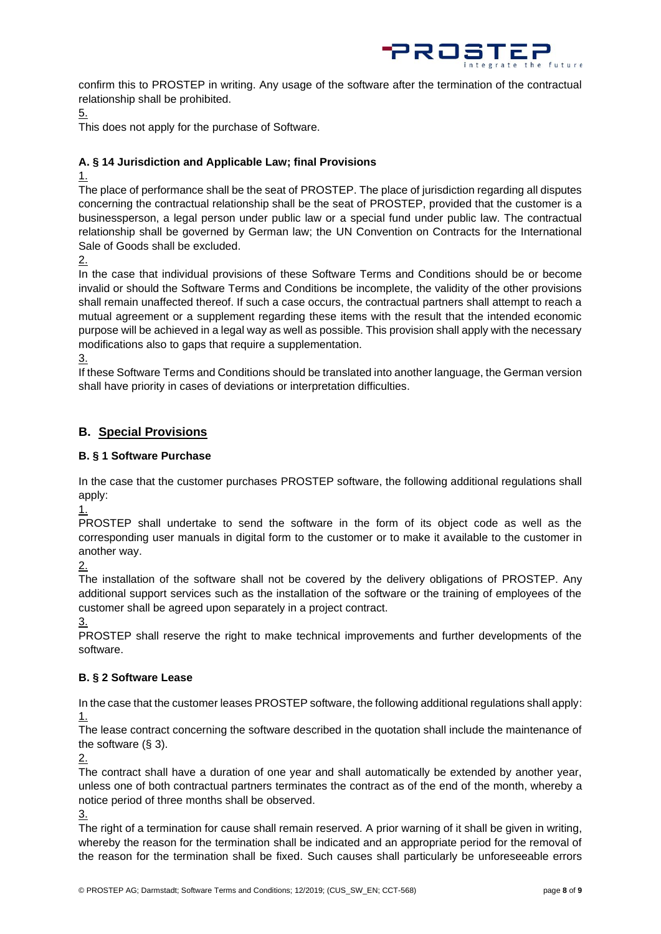

confirm this to PROSTEP in writing. Any usage of the software after the termination of the contractual relationship shall be prohibited.

5.

This does not apply for the purchase of Software.

## **A. § 14 Jurisdiction and Applicable Law; final Provisions**

1.

The place of performance shall be the seat of PROSTEP. The place of jurisdiction regarding all disputes concerning the contractual relationship shall be the seat of PROSTEP, provided that the customer is a businessperson, a legal person under public law or a special fund under public law. The contractual relationship shall be governed by German law; the UN Convention on Contracts for the International Sale of Goods shall be excluded.

2.

In the case that individual provisions of these Software Terms and Conditions should be or become invalid or should the Software Terms and Conditions be incomplete, the validity of the other provisions shall remain unaffected thereof. If such a case occurs, the contractual partners shall attempt to reach a mutual agreement or a supplement regarding these items with the result that the intended economic purpose will be achieved in a legal way as well as possible. This provision shall apply with the necessary modifications also to gaps that require a supplementation.

3.

If these Software Terms and Conditions should be translated into another language, the German version shall have priority in cases of deviations or interpretation difficulties.

## **B. Special Provisions**

### **B. § 1 Software Purchase**

In the case that the customer purchases PROSTEP software, the following additional regulations shall apply:

1.

PROSTEP shall undertake to send the software in the form of its object code as well as the corresponding user manuals in digital form to the customer or to make it available to the customer in another way.

2.

The installation of the software shall not be covered by the delivery obligations of PROSTEP. Any additional support services such as the installation of the software or the training of employees of the customer shall be agreed upon separately in a project contract.

3.

PROSTEP shall reserve the right to make technical improvements and further developments of the software.

## **B. § 2 Software Lease**

In the case that the customer leases PROSTEP software, the following additional regulations shall apply: 1.

The lease contract concerning the software described in the quotation shall include the maintenance of the software (§ 3).

2.

The contract shall have a duration of one year and shall automatically be extended by another year, unless one of both contractual partners terminates the contract as of the end of the month, whereby a notice period of three months shall be observed.

3.

The right of a termination for cause shall remain reserved. A prior warning of it shall be given in writing, whereby the reason for the termination shall be indicated and an appropriate period for the removal of the reason for the termination shall be fixed. Such causes shall particularly be unforeseeable errors